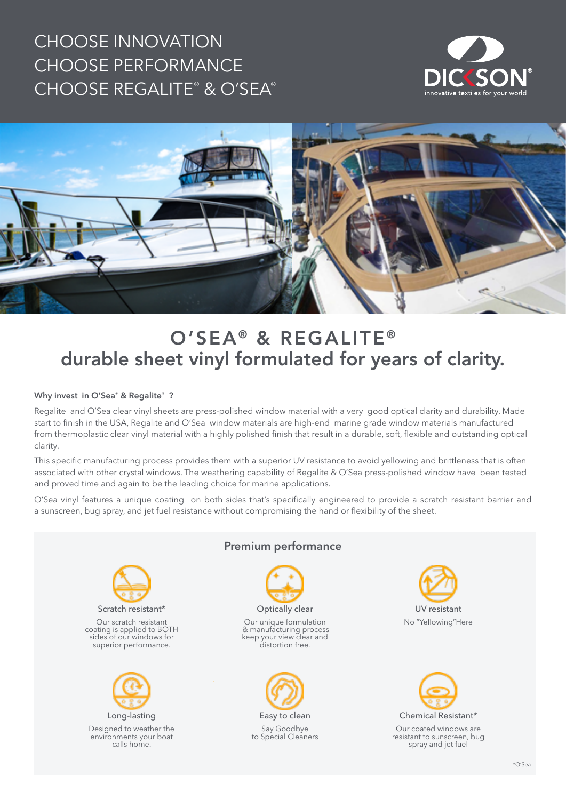# CHOOSE INNOVATION CHOOSE PERFORMANCE CHOOSE REGALITE® & O'SEA®





# O'SEA<sup>®</sup> & REGALITE<sup>®</sup> durable sheet vinyl formulated for years of clarity.

#### **Why invest in O'Sea® & Regalite® ?**

Regalite and O'Sea clear vinyl sheets are press-polished window material with a very good optical clarity and durability. Made start to finish in the USA, Regalite and O'Sea window materials are high-end marine grade window materials manufactured from thermoplastic clear vinyl material with a highly polished finish that result in a durable, soft, flexible and outstanding optical clarity.

This specific manufacturing process provides them with a superior UV resistance to avoid yellowing and brittleness that is often associated with other crystal windows. The weathering capability of Regalite & O'Sea press-polished window have been tested and proved time and again to be the leading choice for marine applications.

O'Sea vinyl features a unique coating on both sides that's specifically engineered to provide a scratch resistant barrier and a sunscreen, bug spray, and jet fuel resistance without compromising the hand or flexibility of the sheet.